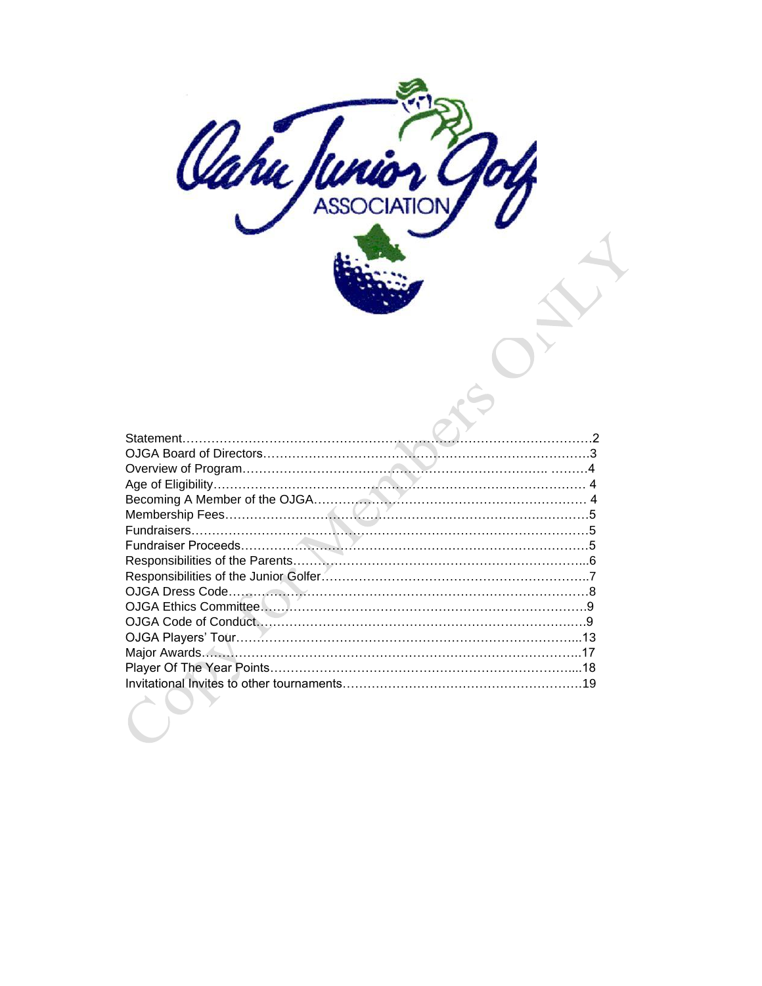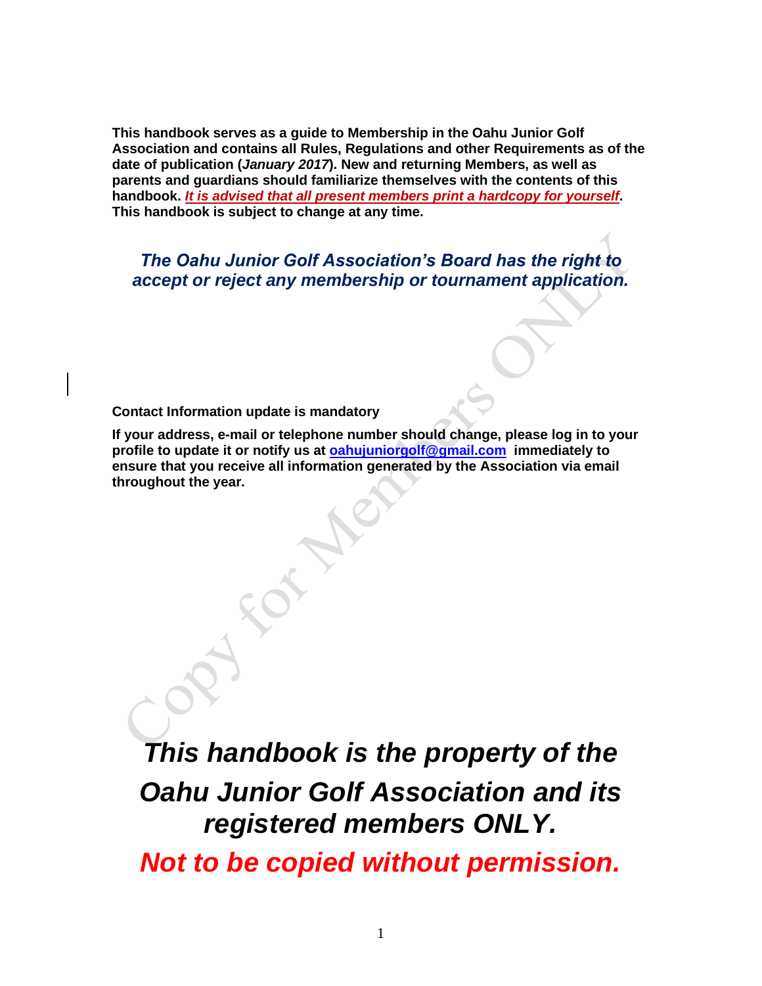**This handbook serves as a guide to Membership in the Oahu Junior Golf Association and contains all Rules, Regulations and other Requirements as of the date of publication (***January 2017***). New and returning Members, as well as parents and guardians should familiarize themselves with the contents of this handbook.** *It is advised that all present members print a hardcopy for yourself***. This handbook is subject to change at any time.**

*The Oahu Junior Golf Association's Board has the right to accept or reject any membership or tournament application.*

**Contact Information update is mandatory**

**If your address, e-mail or telephone number should change, please log in to your profile to update it or notify us at [oahujuniorgolf@gmail.com](mailto:oahujuniorgolf@gmail.com) immediately to ensure that you receive all information generated by the Association via email throughout the year.**

*This handbook is the property of the Oahu Junior Golf Association and its registered members ONLY.*

*Not to be copied without permission.*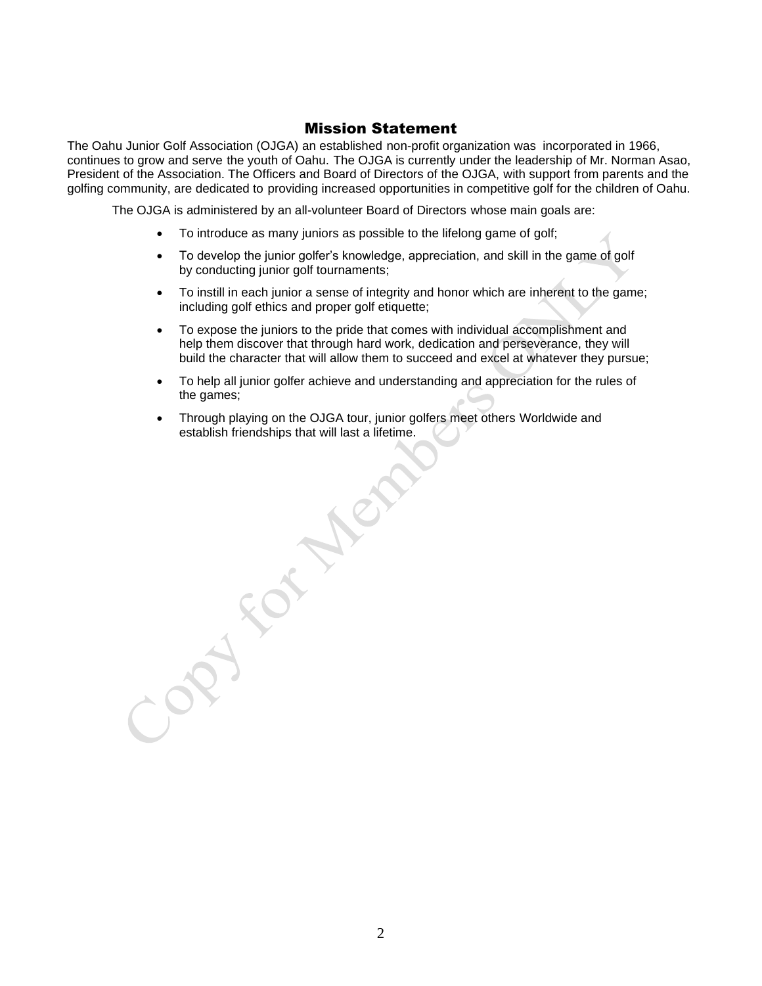## Mission Statement

The Oahu Junior Golf Association (OJGA) an established non-profit organization was incorporated in 1966, continues to grow and serve the youth of Oahu. The OJGA is currently under the leadership of Mr. Norman Asao, President of the Association. The Officers and Board of Directors of the OJGA, with support from parents and the golfing community, are dedicated to providing increased opportunities in competitive golf for the children of Oahu.

The OJGA is administered by an all-volunteer Board of Directors whose main goals are:

- To introduce as many juniors as possible to the lifelong game of golf;
- To develop the junior golfer's knowledge, appreciation, and skill in the game of golf by conducting junior golf tournaments;
- To instill in each junior a sense of integrity and honor which are inherent to the game; including golf ethics and proper golf etiquette;
- To expose the juniors to the pride that comes with individual accomplishment and help them discover that through hard work, dedication and perseverance, they will build the character that will allow them to succeed and excel at whatever they pursue;
- To help all junior golfer achieve and understanding and appreciation for the rules of the games;
- Through playing on the OJGA tour, junior golfers meet others Worldwide and establish friendships that will last a lifetime.

**ASSISTER**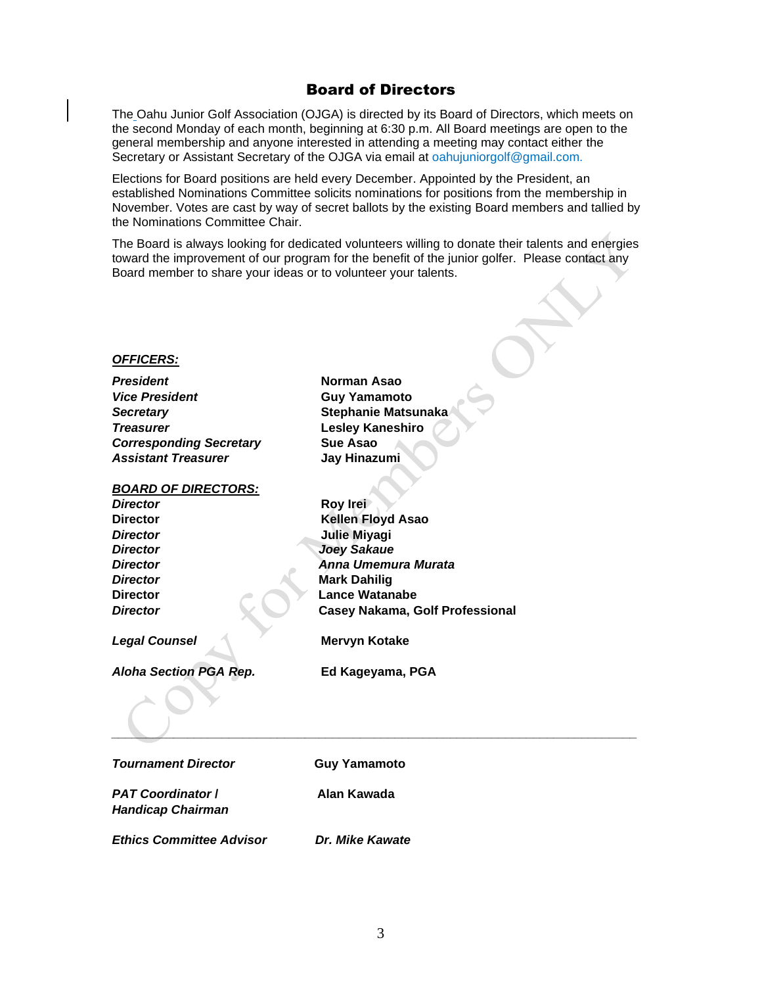### Board of Directors

The Oahu Junior Golf Association (OJGA) is directed by its Board of Directors, which meets on the second Monday of each month, beginning at 6:30 p.m. All Board meetings are open to the general membership and anyone interested in attending a meeting may contact either the Secretary or Assistant Secretary of the OJGA via email at oahujuniorgolf@gmail.com.

Elections for Board positions are held every December. Appointed by the President, an established Nominations Committee solicits nominations for positions from the membership in November. Votes are cast by way of secret ballots by the existing Board members and tallied by the Nominations Committee Chair.

The Board is always looking for dedicated volunteers willing to donate their talents and energies toward the improvement of our program for the benefit of the junior golfer. Please contact any Board member to share your ideas or to volunteer your talents.

#### *OFFICERS:*

*President* **Norman Asao** *Vice President* **Guy Yamamoto** *Secretary* **Stephanie Matsunaka** *Treasurer* **Lesley Kaneshiro Corresponding Secretary Sue Asao** *Assistant Treasurer* **Jay Hinazumi**

*BOARD OF DIRECTORS:*

*Director* **Roy Irei Director Kellen Floyd Asao** *Director* **Julie Miyagi** *Director Joey Sakaue*

*Director Anna Umemura Murata* **Director Mark Dahilig Mark Dahilig Director** Lance Watanabe **Director Casey Nakama, Golf Professional** 

*Legal Counsel* **Mervyn Kotake**

*Aloha Section PGA Rep.* **Ed Kageyama, PGA**

*\_\_\_\_\_\_\_\_\_\_\_\_\_\_\_\_\_\_\_\_\_\_\_\_\_\_\_\_\_\_\_\_\_\_\_\_\_\_\_\_\_\_\_\_\_\_\_\_\_\_\_\_\_\_\_\_\_\_\_\_\_\_\_\_\_\_\_\_\_\_\_\_\_\_\_\_*

**Tournament Director Guy Yamamoto** 

*PAT Coordinator* **/ Alan Kawada** *Handicap Chairman*

*Ethics Committee Advisor Dr. Mike Kawate*

3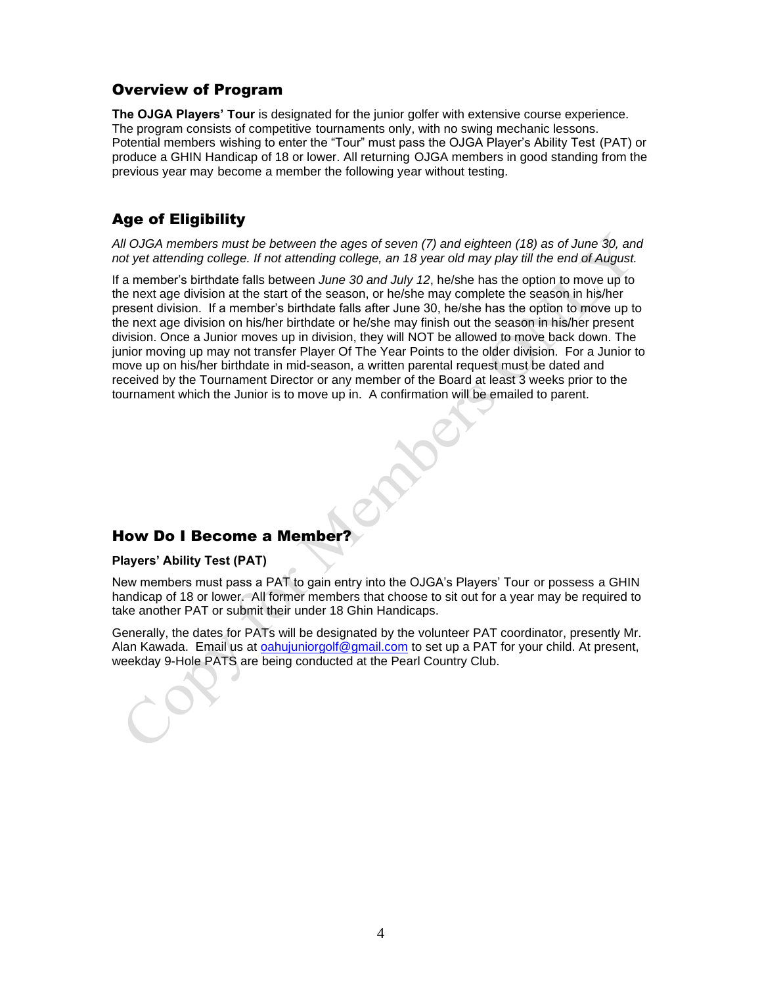## Overview of Program

**The OJGA Players' Tour** is designated for the junior golfer with extensive course experience. The program consists of competitive tournaments only, with no swing mechanic lessons. Potential members wishing to enter the "Tour" must pass the OJGA Player's Ability Test (PAT) or produce a GHIN Handicap of 18 or lower. All returning OJGA members in good standing from the previous year may become a member the following year without testing.

# Age of Eligibility

#### *All OJGA members must be between the ages of seven (7) and eighteen (18) as of June 30, and not yet attending college. If not attending college, an 18 year old may play till the end of August.*

If a member's birthdate falls between *June 30 and July 12*, he/she has the option to move up to the next age division at the start of the season, or he/she may complete the season in his/her present division. If a member's birthdate falls after June 30, he/she has the option to move up to the next age division on his/her birthdate or he/she may finish out the season in his/her present division. Once a Junior moves up in division, they will NOT be allowed to move back down. The junior moving up may not transfer Player Of The Year Points to the older division. For a Junior to move up on his/her birthdate in mid-season, a written parental request must be dated and received by the Tournament Director or any member of the Board at least 3 weeks prior to the tournament which the Junior is to move up in. A confirmation will be emailed to parent.

# How Do I Become a Member?

#### **Players' Ability Test (PAT)**

New members must pass a PAT to gain entry into the OJGA's Players' Tour or possess a GHIN handicap of 18 or lower. All former members that choose to sit out for a year may be required to take another PAT or submit their under 18 Ghin Handicaps.

Generally, the dates for PATs will be designated by the volunteer PAT coordinator, presently Mr. Alan Kawada. Email us at [oahujuniorgolf@gmail.com](mailto:oahujuniorgolf@gmail.com) to set up a PAT for your child. At present, weekday 9-Hole PATS are being conducted at the Pearl Country Club.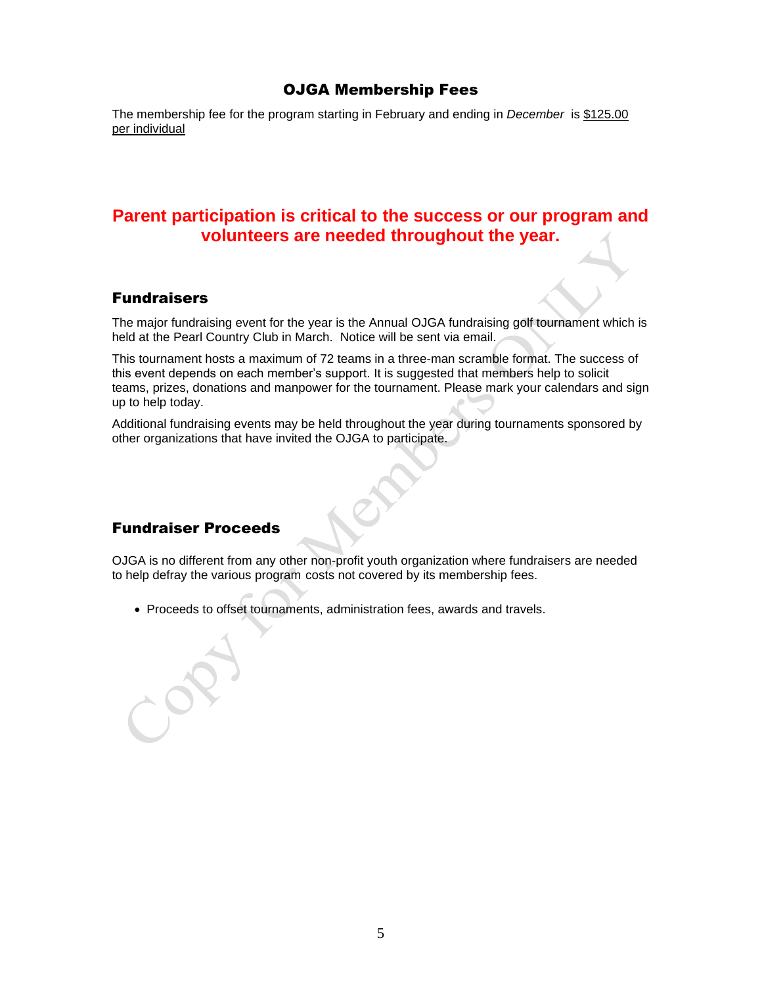# OJGA Membership Fees

The membership fee for the program starting in February and ending in *December* is \$125.00 per individual

# **Parent participation is critical to the success or our program and volunteers are needed throughout the year.**

## Fundraisers

The major fundraising event for the year is the Annual OJGA fundraising golf tournament which is held at the Pearl Country Club in March. Notice will be sent via email.

This tournament hosts a maximum of 72 teams in a three-man scramble format. The success of this event depends on each member's support. It is suggested that members help to solicit teams, prizes, donations and manpower for the tournament. Please mark your calendars and sign up to help today.

Additional fundraising events may be held throughout the year during tournaments sponsored by other organizations that have invited the OJGA to participate.

# Fundraiser Proceeds

OJGA is no different from any other non-profit youth organization where fundraisers are needed to help defray the various program costs not covered by its membership fees.

• Proceeds to offset tournaments, administration fees, awards and travels.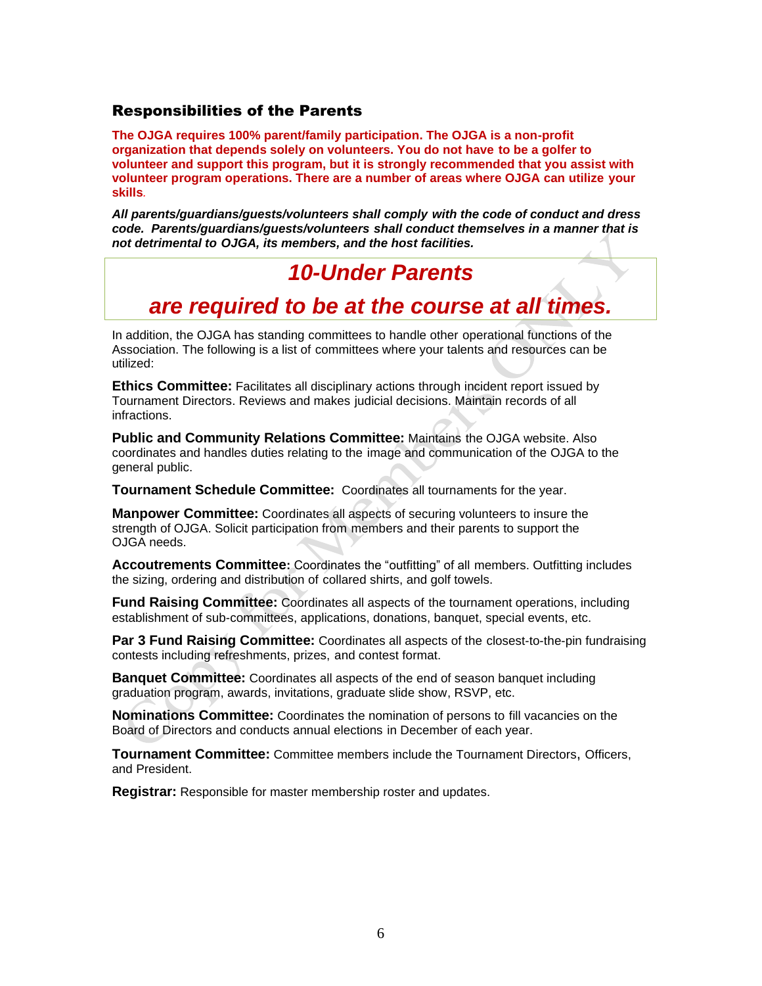## Responsibilities of the Parents

**The OJGA requires 100% parent/family participation. The OJGA is a non-profit organization that depends solely on volunteers. You do not have to be a golfer to volunteer and support this program, but it is strongly recommended that you assist with volunteer program operations. There are a number of areas where OJGA can utilize your skills***.*

*All parents/guardians/guests/volunteers shall comply with the code of conduct and dress code. Parents/guardians/guests/volunteers shall conduct themselves in a manner that is not detrimental to OJGA, its members, and the host facilities.*

# *10-Under Parents*

# *are required to be at the course at all times.*

In addition, the OJGA has standing committees to handle other operational functions of the Association. The following is a list of committees where your talents and resources can be utilized:

**Ethics Committee:** Facilitates all disciplinary actions through incident report issued by Tournament Directors. Reviews and makes judicial decisions. Maintain records of all infractions.

**Public and Community Relations Committee:** Maintains the OJGA website. Also coordinates and handles duties relating to the image and communication of the OJGA to the general public.

**Tournament Schedule Committee:** Coordinates all tournaments for the year.

**Manpower Committee:** Coordinates all aspects of securing volunteers to insure the strength of OJGA. Solicit participation from members and their parents to support the OJGA needs.

**Accoutrements Committee:** Coordinates the "outfitting" of all members. Outfitting includes the sizing, ordering and distribution of collared shirts, and golf towels.

**Fund Raising Committee:** Coordinates all aspects of the tournament operations, including establishment of sub-committees, applications, donations, banquet, special events, etc.

**Par 3 Fund Raising Committee:** Coordinates all aspects of the closest-to-the-pin fundraising contests including refreshments, prizes, and contest format.

**Banquet Committee:** Coordinates all aspects of the end of season banquet including graduation program, awards, invitations, graduate slide show, RSVP, etc.

**Nominations Committee:** Coordinates the nomination of persons to fill vacancies on the Board of Directors and conducts annual elections in December of each year.

**Tournament Committee:** Committee members include the Tournament Directors, Officers, and President.

**Registrar:** Responsible for master membership roster and updates.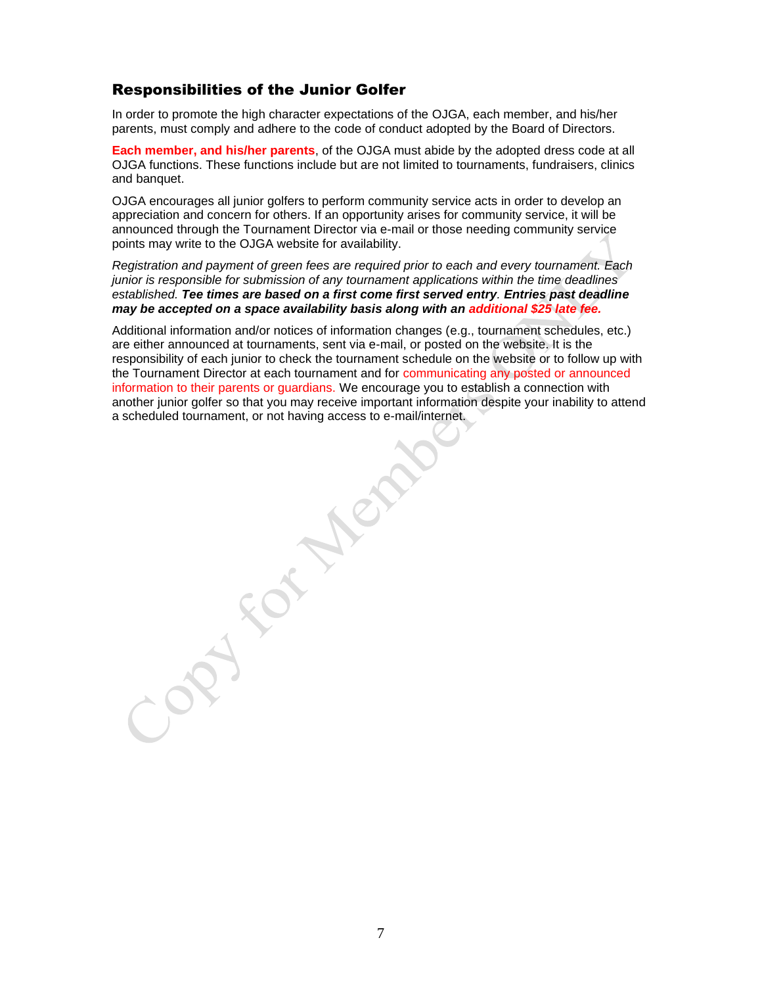# Responsibilities of the Junior Golfer

In order to promote the high character expectations of the OJGA, each member, and his/her parents, must comply and adhere to the code of conduct adopted by the Board of Directors.

**Each member, and his/her parents**, of the OJGA must abide by the adopted dress code at all OJGA functions. These functions include but are not limited to tournaments, fundraisers, clinics and banquet.

OJGA encourages all junior golfers to perform community service acts in order to develop an appreciation and concern for others. If an opportunity arises for community service, it will be announced through the Tournament Director via e-mail or those needing community service points may write to the OJGA website for availability.

*Registration and payment of green fees are required prior to each and every tournament. Each junior is responsible for submission of any tournament applications within the time deadlines established. Tee times are based on a first come first served entry. Entries past deadline may be accepted on a space availability basis along with an additional \$25 late fee.*

Additional information and/or notices of information changes (e.g., tournament schedules, etc.) are either announced at tournaments, sent via e-mail, or posted on the website. It is the responsibility of each junior to check the tournament schedule on the website or to follow up with the Tournament Director at each tournament and for communicating any posted or announced information to their parents or guardians. We encourage you to establish a connection with another junior golfer so that you may receive important information despite your inability to attend a scheduled tournament, or not having access to e-mail/internet.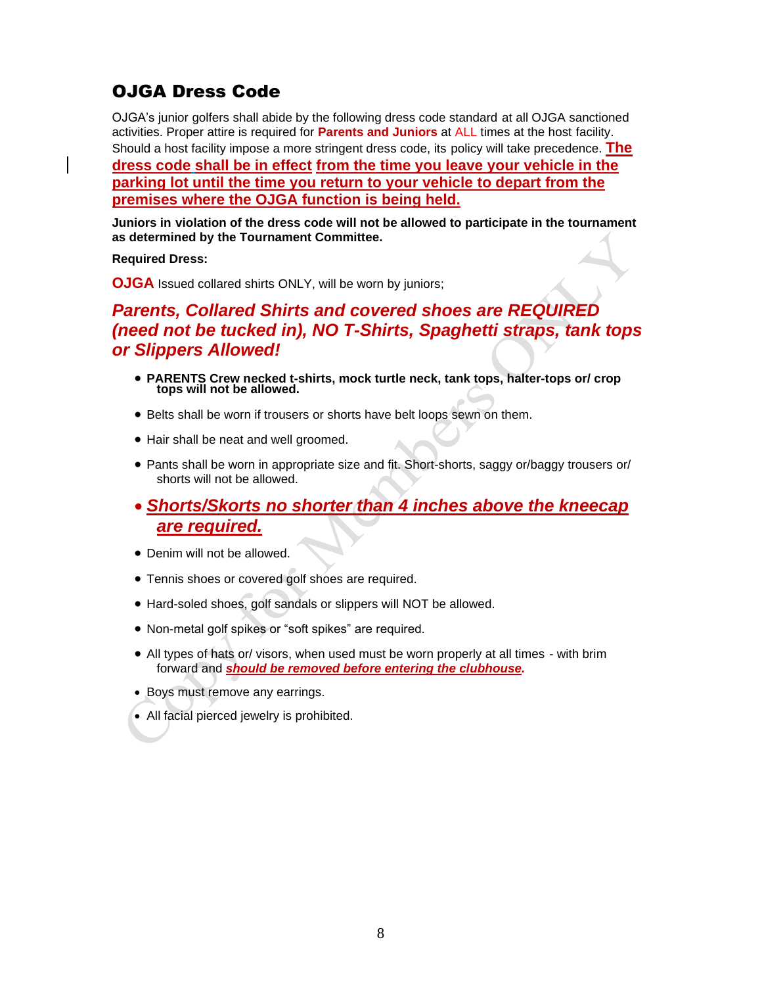# OJGA Dress Code

OJGA's junior golfers shall abide by the following dress code standard at all OJGA sanctioned activities. Proper attire is required for **Parents and Juniors** at ALL times at the host facility. Should a host facility impose a more stringent dress code, its policy will take precedence. **The dress code shall be in effect from the time you leave your vehicle in the parking lot until the time you return to your vehicle to depart from the premises where the OJGA function is being held.**

**Juniors in violation of the dress code will not be allowed to participate in the tournament as determined by the Tournament Committee.** 

#### **Required Dress:**

**OJGA** Issued collared shirts ONLY, will be worn by juniors;

# *Parents, Collared Shirts and covered shoes are REQUIRED (need not be tucked in), NO T-Shirts, Spaghetti straps, tank tops or Slippers Allowed!*

- **PARENTS Crew necked t-shirts, mock turtle neck, tank tops, halter-tops or/ crop tops will not be allowed.**
- Belts shall be worn if trousers or shorts have belt loops sewn on them.
- Hair shall be neat and well groomed.
- Pants shall be worn in appropriate size and fit. Short-shorts, saggy or/baggy trousers or/ shorts will not be allowed.

# • *Shorts/Skorts no shorter than 4 inches above the kneecap are required.*

- Denim will not be allowed.
- Tennis shoes or covered golf shoes are required.
- Hard-soled shoes, golf sandals or slippers will NOT be allowed.
- Non-metal golf spikes or "soft spikes" are required.
- All types of hats or/ visors, when used must be worn properly at all times with brim forward and *should be removed before entering the clubhouse.*
- Boys must remove any earrings.
- All facial pierced jewelry is prohibited.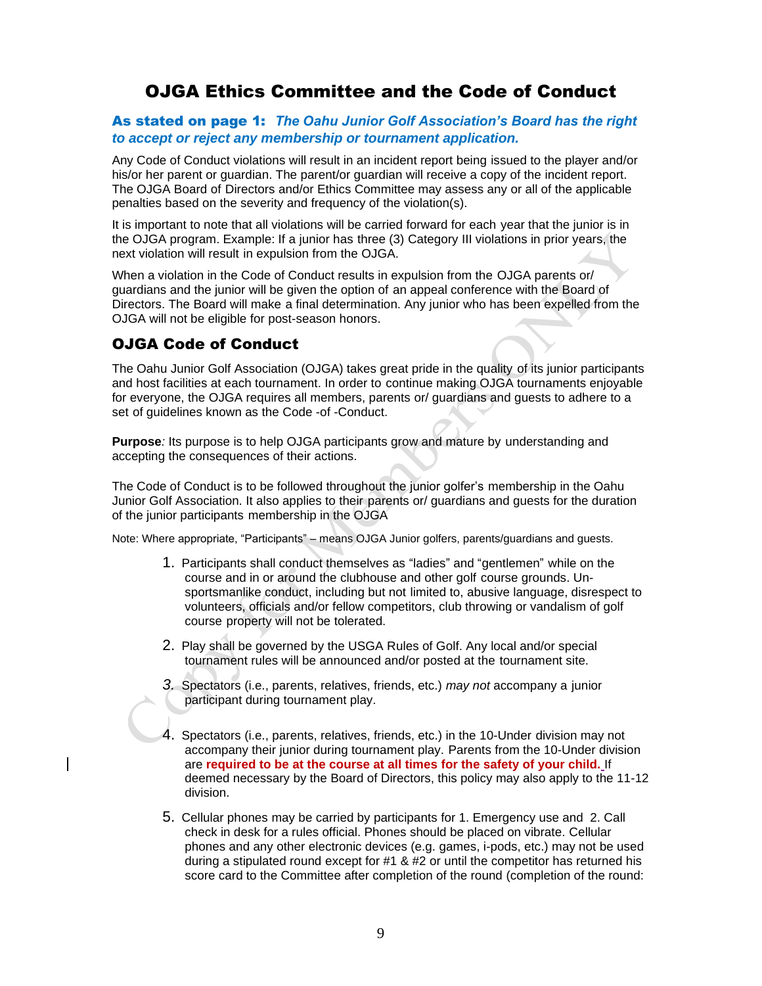# OJGA Ethics Committee and the Code of Conduct

#### As stated on page 1: *The Oahu Junior Golf Association's Board has the right to accept or reject any membership or tournament application.*

Any Code of Conduct violations will result in an incident report being issued to the player and/or his/or her parent or guardian. The parent/or guardian will receive a copy of the incident report. The OJGA Board of Directors and/or Ethics Committee may assess any or all of the applicable penalties based on the severity and frequency of the violation(s).

It is important to note that all violations will be carried forward for each year that the junior is in the OJGA program. Example: If a junior has three (3) Category III violations in prior years, the next violation will result in expulsion from the OJGA.

When a violation in the Code of Conduct results in expulsion from the OJGA parents or/ guardians and the junior will be given the option of an appeal conference with the Board of Directors. The Board will make a final determination. Any junior who has been expelled from the OJGA will not be eligible for post-season honors.

# OJGA Code of Conduct

The Oahu Junior Golf Association (OJGA) takes great pride in the quality of its junior participants and host facilities at each tournament. In order to continue making OJGA tournaments enjoyable for everyone, the OJGA requires all members, parents or/ guardians and guests to adhere to a set of guidelines known as the Code -of -Conduct.

**Purpose***:* Its purpose is to help OJGA participants grow and mature by understanding and accepting the consequences of their actions.

The Code of Conduct is to be followed throughout the junior golfer's membership in the Oahu Junior Golf Association. It also applies to their parents or/ guardians and guests for the duration of the junior participants membership in the OJGA

Note: Where appropriate, "Participants" – means OJGA Junior golfers, parents/guardians and guests.

- 1. Participants shall conduct themselves as "ladies" and "gentlemen" while on the course and in or around the clubhouse and other golf course grounds. Unsportsmanlike conduct, including but not limited to, abusive language, disrespect to volunteers, officials and/or fellow competitors, club throwing or vandalism of golf course property will not be tolerated.
- 2. Play shall be governed by the USGA Rules of Golf. Any local and/or special tournament rules will be announced and/or posted at the tournament site.
- *3.* Spectators (i.e., parents, relatives, friends, etc.) *may not* accompany a junior participant during tournament play.
- 4. Spectators (i.e., parents, relatives, friends, etc.) in the 10-Under division may not accompany their junior during tournament play. Parents from the 10-Under division are **required to be at the course at all times for the safety of your child.** If deemed necessary by the Board of Directors, this policy may also apply to the 11-12 division.
- 5. Cellular phones may be carried by participants for 1. Emergency use and 2. Call check in desk for a rules official. Phones should be placed on vibrate. Cellular phones and any other electronic devices (e.g. games, i-pods, etc.) may not be used during a stipulated round except for #1 & #2 or until the competitor has returned his score card to the Committee after completion of the round (completion of the round: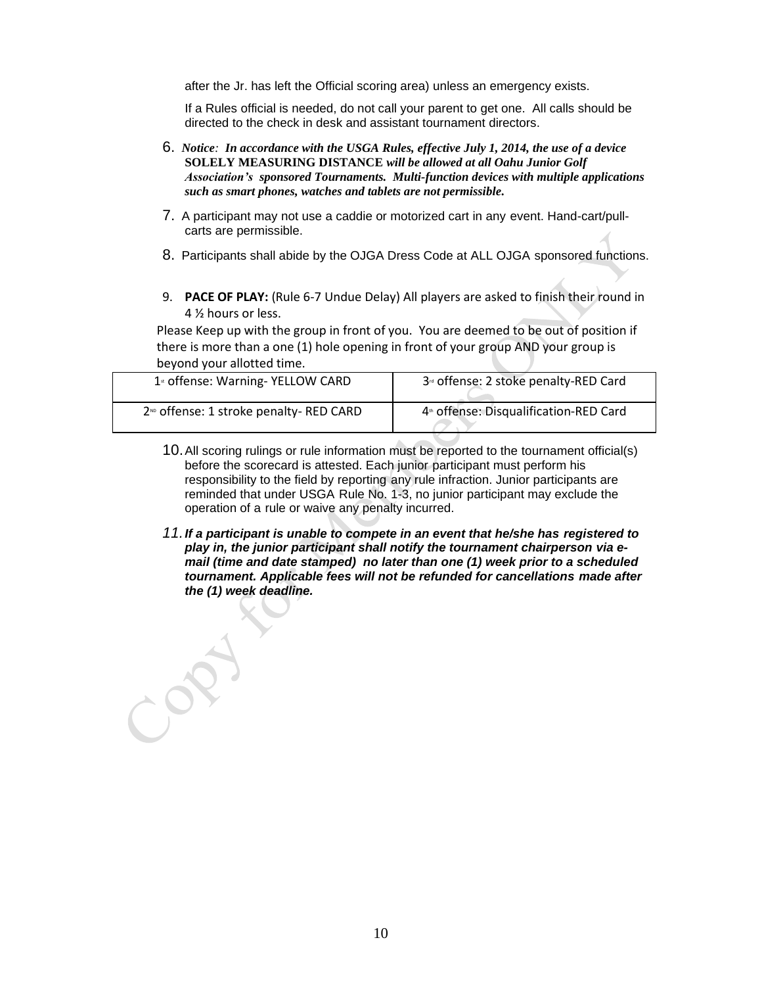after the Jr. has left the Official scoring area) unless an emergency exists.

If a Rules official is needed, do not call your parent to get one. All calls should be directed to the check in desk and assistant tournament directors.

- 6. *Notice: In accordance with the USGA Rules, effective July 1, 2014, the use of a device* **SOLELY MEASURING DISTANCE** *will be allowed at all Oahu Junior Golf Association's sponsored Tournaments. Multi-function devices with multiple applications such as smart phones, watches and tablets are not permissible.*
- 7. A participant may not use a caddie or motorized cart in any event. Hand-cart/pullcarts are permissible.
- 8. Participants shall abide by the OJGA Dress Code at ALL OJGA sponsored functions.
- 9. **PACE OF PLAY:** (Rule 6-7 Undue Delay) All players are asked to finish their round in 4 ½ hours or less.

Please Keep up with the group in front of you. You are deemed to be out of position if there is more than a one (1) hole opening in front of your group AND your group is beyond your allotted time.

| 1 <sup>st</sup> offense: Warning- YELLOW CARD      | 3 <sup><i>d</i></sup> offense: 2 stoke penalty-RED Card |
|----------------------------------------------------|---------------------------------------------------------|
| 2 <sup>ND</sup> offense: 1 stroke penalty-RED CARD | 4 <sup>th</sup> offense: Disqualification-RED Card      |

- 10.All scoring rulings or rule information must be reported to the tournament official(s) before the scorecard is attested. Each junior participant must perform his responsibility to the field by reporting any rule infraction. Junior participants are reminded that under USGA Rule No. 1-3, no junior participant may exclude the operation of a rule or waive any penalty incurred.
- *11.If a participant is unable to compete in an event that he/she has registered to play in, the junior participant shall notify the tournament chairperson via email (time and date stamped) no later than one (1) week prior to a scheduled tournament. Applicable fees will not be refunded for cancellations made after the (1) week deadline.*

 $\rightarrow$  or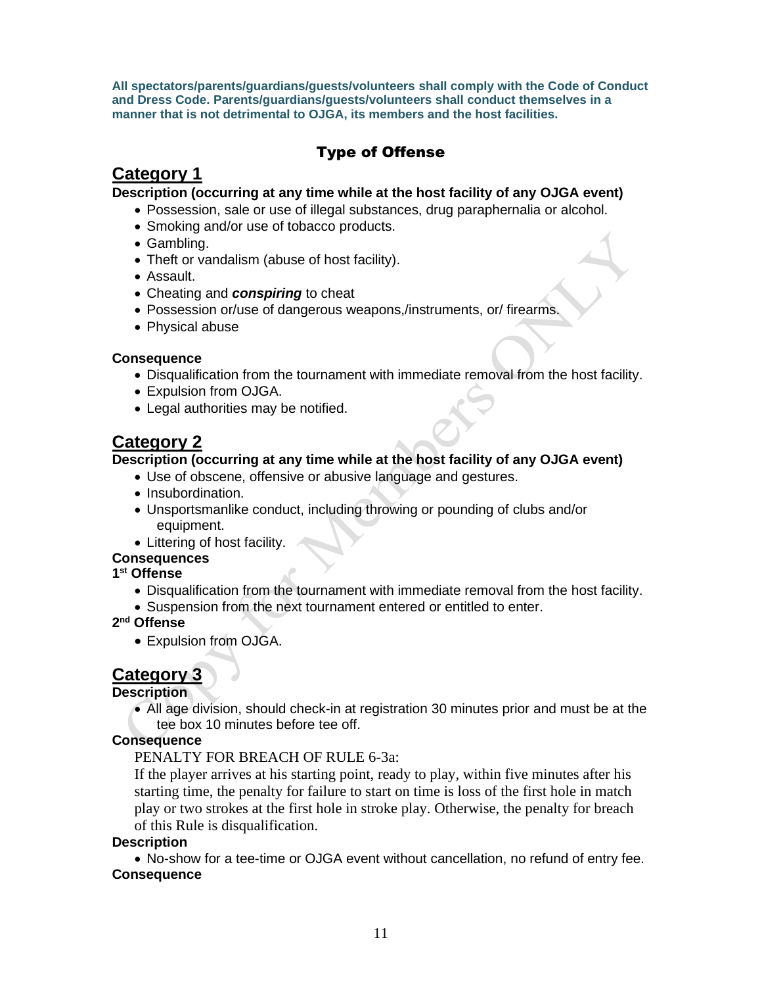**All spectators/parents/guardians/guests/volunteers shall comply with the Code of Conduct and Dress Code. Parents/guardians/guests/volunteers shall conduct themselves in a manner that is not detrimental to OJGA, its members and the host facilities.** 

# Type of Offense

# **Category 1**

**Description (occurring at any time while at the host facility of any OJGA event)**

- Possession, sale or use of illegal substances, drug paraphernalia or alcohol.
- Smoking and/or use of tobacco products.
- Gambling.
- Theft or vandalism (abuse of host facility).
- Assault.
- Cheating and *conspiring* to cheat
- Possession or/use of dangerous weapons,/instruments, or/ firearms.
- Physical abuse

## **Consequence**

- Disqualification from the tournament with immediate removal from the host facility.
- Expulsion from OJGA.
- Legal authorities may be notified.

# **Category 2**

## **Description (occurring at any time while at the host facility of any OJGA event)**

- Use of obscene, offensive or abusive language and gestures.
- Insubordination.
- Unsportsmanlike conduct, including throwing or pounding of clubs and/or equipment.
- Littering of host facility.

# **Consequences**

### **1 st Offense**

- Disqualification from the tournament with immediate removal from the host facility.
- Suspension from the next tournament entered or entitled to enter.

### **2 nd Offense**

• Expulsion from OJGA.

# **Category 3**

# **Description**

• All age division, should check-in at registration 30 minutes prior and must be at the tee box 10 minutes before tee off.

### **Consequence**

# PENALTY FOR BREACH OF RULE 6-3a:

If the player arrives at his starting point, ready to play, within five minutes after his starting time, the penalty for failure to start on time is loss of the first hole in match play or two strokes at the first hole in stroke play. Otherwise, the penalty for breach of this Rule is disqualification.

# **Description**

• No-show for a tee-time or OJGA event without cancellation, no refund of entry fee. **Consequence**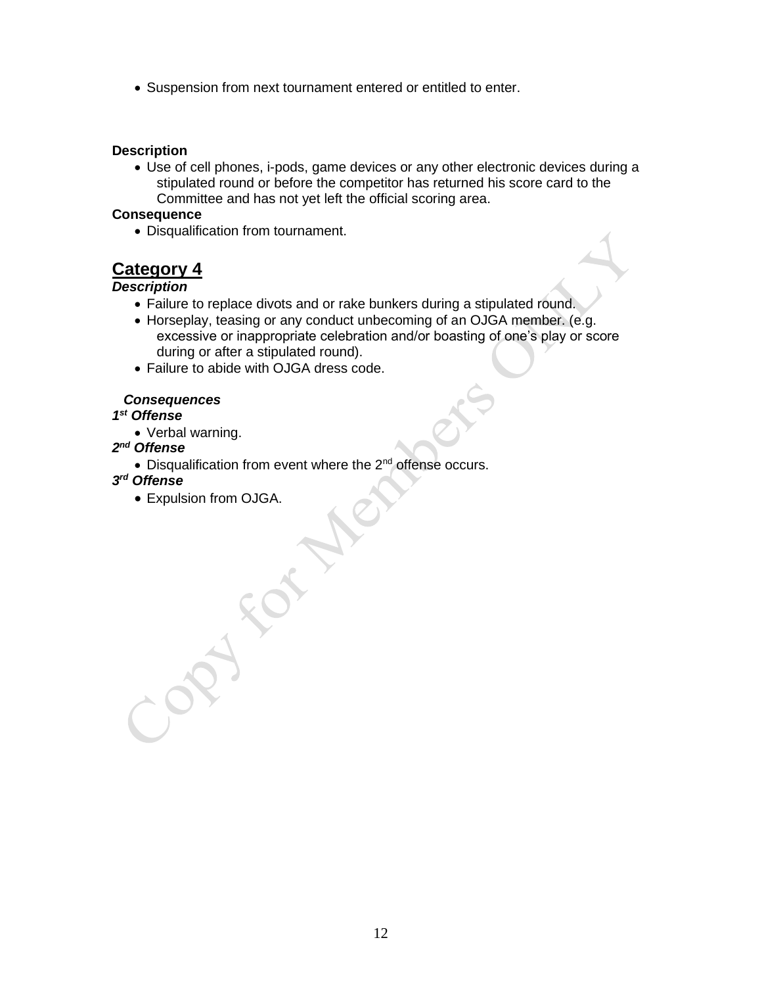• Suspension from next tournament entered or entitled to enter.

#### **Description**

• Use of cell phones, i-pods, game devices or any other electronic devices during a stipulated round or before the competitor has returned his score card to the Committee and has not yet left the official scoring area.

#### **Consequence**

• Disqualification from tournament.

# **Category 4**

### *Description*

- Failure to replace divots and or rake bunkers during a stipulated round.
- Horseplay, teasing or any conduct unbecoming of an OJGA member. (e.g. excessive or inappropriate celebration and/or boasting of one's play or score during or after a stipulated round).
- Failure to abide with OJGA dress code.

### *Consequences*

### *1 st Offense*

- Verbal warning.
- *2 nd Offense*
	- $\bullet$  Disqualification from event where the 2<sup>nd</sup> offense occurs.

### *3 rd Offense*

• Expulsion from OJGA.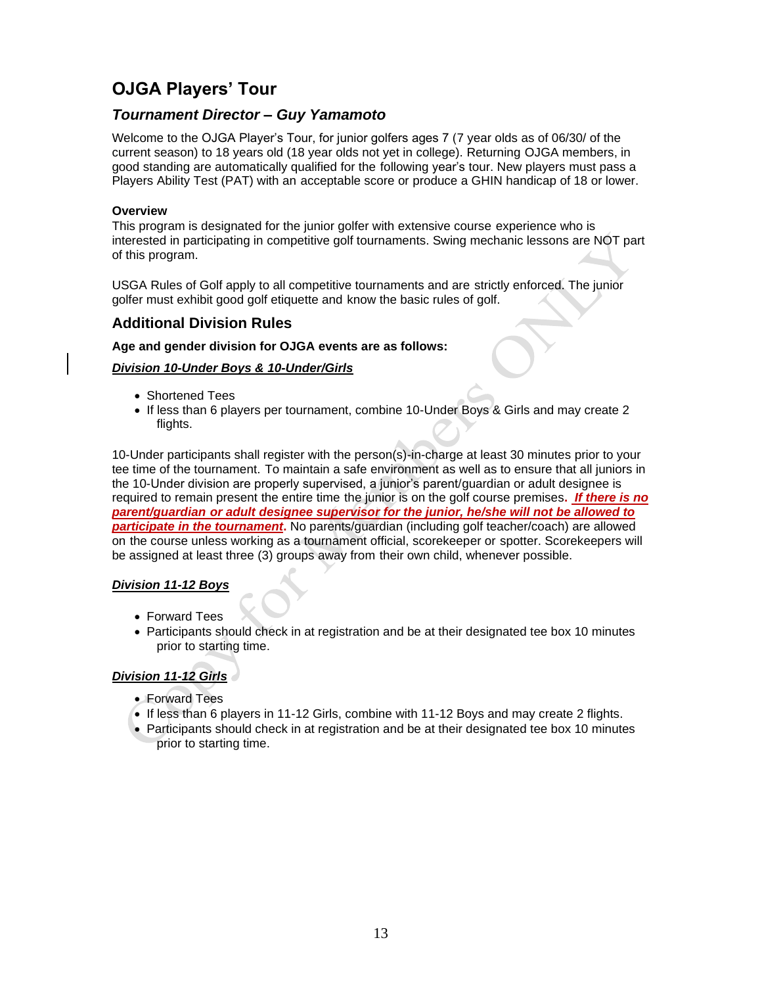# **OJGA Players' Tour**

# *Tournament Director – Guy Yamamoto*

Welcome to the OJGA Player's Tour, for junior golfers ages 7 (7 year olds as of 06/30/ of the current season) to 18 years old (18 year olds not yet in college). Returning OJGA members, in good standing are automatically qualified for the following year's tour. New players must pass a Players Ability Test (PAT) with an acceptable score or produce a GHIN handicap of 18 or lower.

#### **Overview**

This program is designated for the junior golfer with extensive course experience who is interested in participating in competitive golf tournaments. Swing mechanic lessons are NOT part of this program.

USGA Rules of Golf apply to all competitive tournaments and are strictly enforced. The junior golfer must exhibit good golf etiquette and know the basic rules of golf.

## **Additional Division Rules**

#### **Age and gender division for OJGA events are as follows:**

#### *Division 10-Under Boys & 10-Under/Girls*

- Shortened Tees
- If less than 6 players per tournament, combine 10-Under Boys & Girls and may create 2 flights.

10-Under participants shall register with the person(s)-in-charge at least 30 minutes prior to your tee time of the tournament. To maintain a safe environment as well as to ensure that all juniors in the 10-Under division are properly supervised, a junior's parent/guardian or adult designee is required to remain present the entire time the junior is on the golf course premises**.** *If there is no parent/guardian or adult designee supervisor for the junior, he/she will not be allowed to participate in the tournament***.** No parents/guardian (including golf teacher/coach) are allowed on the course unless working as a tournament official, scorekeeper or spotter. Scorekeepers will be assigned at least three (3) groups away from their own child, whenever possible.

#### *Division 11-12 Boys*

- Forward Tees
- Participants should check in at registration and be at their designated tee box 10 minutes prior to starting time.

### *Division 11-12 Girls*

- Forward Tees
- If less than 6 players in 11-12 Girls, combine with 11-12 Boys and may create 2 flights.
- Participants should check in at registration and be at their designated tee box 10 minutes prior to starting time.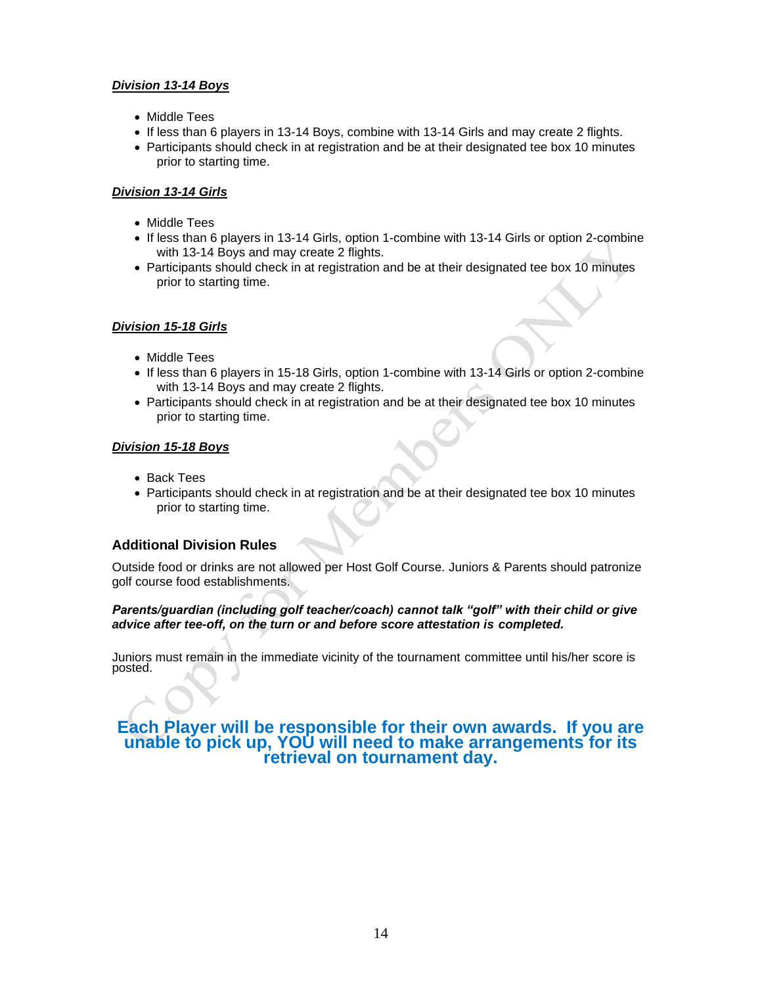#### *Division 13-14 Boys*

- Middle Tees
- If less than 6 players in 13-14 Boys, combine with 13-14 Girls and may create 2 flights.
- Participants should check in at registration and be at their designated tee box 10 minutes prior to starting time.

#### *Division 13-14 Girls*

- Middle Tees
- If less than 6 players in 13-14 Girls, option 1-combine with 13-14 Girls or option 2-combine with 13-14 Boys and may create 2 flights.
- Participants should check in at registration and be at their designated tee box 10 minutes prior to starting time.

#### *Division 15-18 Girls*

- Middle Tees
- If less than 6 players in 15-18 Girls, option 1-combine with 13-14 Girls or option 2-combine with 13-14 Boys and may create 2 flights.
- Participants should check in at registration and be at their designated tee box 10 minutes prior to starting time.

#### *Division 15-18 Boys*

- Back Tees
- Participants should check in at registration and be at their designated tee box 10 minutes prior to starting time.

#### **Additional Division Rules**

Outside food or drinks are not allowed per Host Golf Course. Juniors & Parents should patronize golf course food establishments.

#### *Parents/guardian (including golf teacher/coach) cannot talk "golf" with their child or give advice after tee-off, on the turn or and before score attestation is completed.*

Juniors must remain in the immediate vicinity of the tournament committee until his/her score is posted.

## **Each Player will be responsible for their own awards. If you are unable to pick up, YOU will need to make arrangements for its retrieval on tournament day.**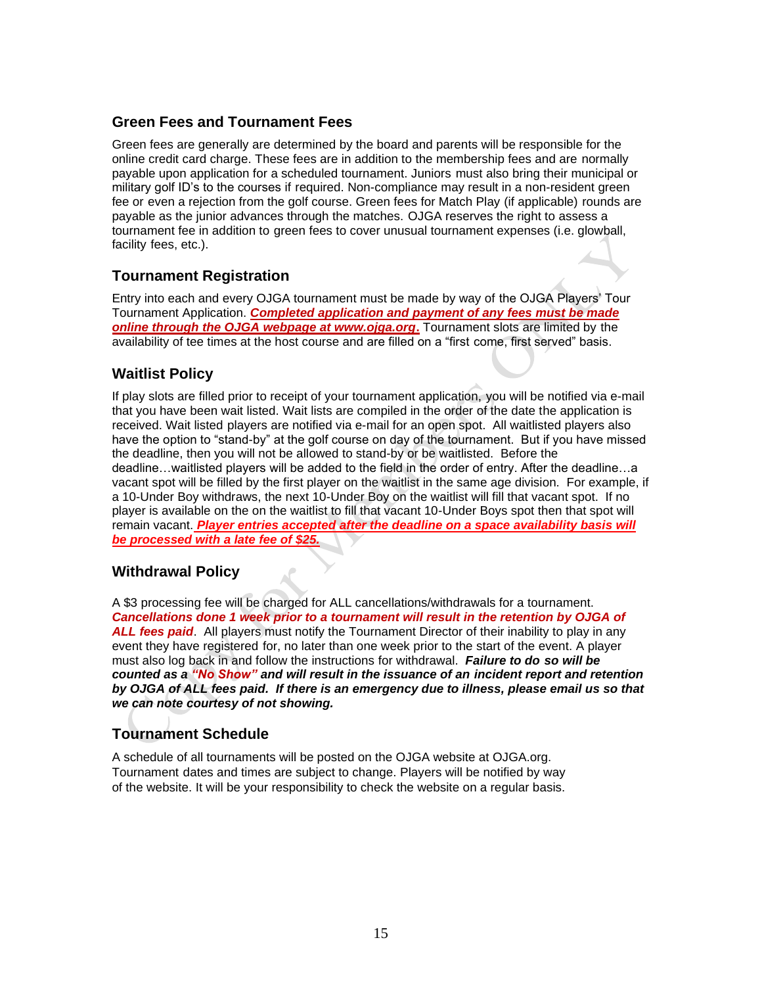# **Green Fees and Tournament Fees**

Green fees are generally are determined by the board and parents will be responsible for the online credit card charge. These fees are in addition to the membership fees and are normally payable upon application for a scheduled tournament. Juniors must also bring their municipal or military golf ID's to the courses if required. Non-compliance may result in a non-resident green fee or even a rejection from the golf course. Green fees for Match Play (if applicable) rounds are payable as the junior advances through the matches. OJGA reserves the right to assess a tournament fee in addition to green fees to cover unusual tournament expenses (i.e. glowball, facility fees, etc.).

# **Tournament Registration**

Entry into each and every OJGA tournament must be made by way of the OJGA Players' Tour Tournament Application. *Completed application and payment of any fees must be made online through the OJGA webpage at www.ojga.org***.** Tournament slots are limited by the availability of tee times at the host course and are filled on a "first come, first served" basis.

# **Waitlist Policy**

If play slots are filled prior to receipt of your tournament application, you will be notified via e-mail that you have been wait listed. Wait lists are compiled in the order of the date the application is received. Wait listed players are notified via e-mail for an open spot. All waitlisted players also have the option to "stand-by" at the golf course on day of the tournament. But if you have missed the deadline, then you will not be allowed to stand-by or be waitlisted. Before the deadline…waitlisted players will be added to the field in the order of entry. After the deadline…a vacant spot will be filled by the first player on the waitlist in the same age division. For example, if a 10-Under Boy withdraws, the next 10-Under Boy on the waitlist will fill that vacant spot. If no player is available on the on the waitlist to fill that vacant 10-Under Boys spot then that spot will remain vacant. *Player entries accepted after the deadline on a space availability basis will be processed with a late fee of \$25.*

# **Withdrawal Policy**

A \$3 processing fee will be charged for ALL cancellations/withdrawals for a tournament. *Cancellations done 1 week prior to a tournament will result in the retention by OJGA of ALL fees paid*. All players must notify the Tournament Director of their inability to play in any event they have registered for, no later than one week prior to the start of the event. A player must also log back in and follow the instructions for withdrawal. *Failure to do so will be counted as a "No Show" and will result in the issuance of an incident report and retention by OJGA of ALL fees paid. If there is an emergency due to illness, please email us so that we can note courtesy of not showing.*

# **Tournament Schedule**

A schedule of all tournaments will be posted on the OJGA website at OJGA.org. Tournament dates and times are subject to change. Players will be notified by way of the website. It will be your responsibility to check the website on a regular basis.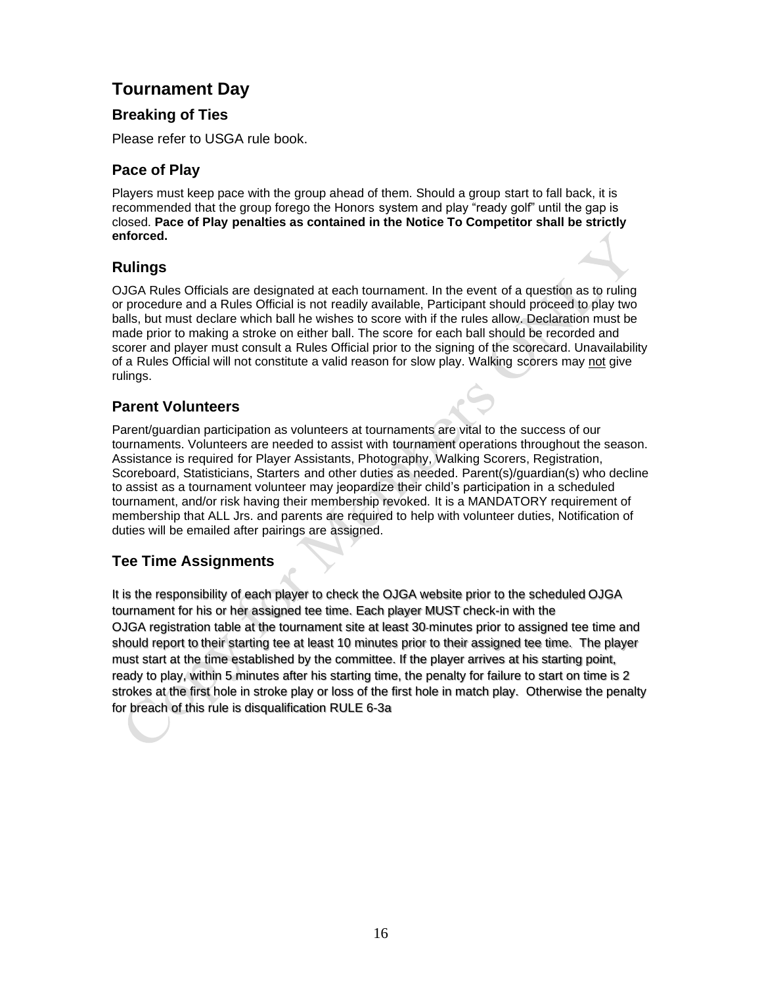# **Tournament Day**

# **Breaking of Ties**

Please refer to USGA rule book.

# **Pace of Play**

Players must keep pace with the group ahead of them. Should a group start to fall back, it is recommended that the group forego the Honors system and play "ready golf" until the gap is closed. **Pace of Play penalties as contained in the Notice To Competitor shall be strictly enforced.** 

# **Rulings**

OJGA Rules Officials are designated at each tournament. In the event of a question as to ruling or procedure and a Rules Official is not readily available, Participant should proceed to play two balls, but must declare which ball he wishes to score with if the rules allow. Declaration must be made prior to making a stroke on either ball. The score for each ball should be recorded and scorer and player must consult a Rules Official prior to the signing of the scorecard. Unavailability of a Rules Official will not constitute a valid reason for slow play. Walking scorers may not give rulings.

# **Parent Volunteers**

Parent/guardian participation as volunteers at tournaments are vital to the success of our tournaments. Volunteers are needed to assist with tournament operations throughout the season. Assistance is required for Player Assistants, Photography, Walking Scorers, Registration, Scoreboard, Statisticians, Starters and other duties as needed. Parent(s)/guardian(s) who decline to assist as a tournament volunteer may jeopardize their child's participation in a scheduled tournament, and/or risk having their membership revoked. It is a MANDATORY requirement of membership that ALL Jrs. and parents are required to help with volunteer duties, Notification of duties will be emailed after pairings are assigned.

# **Tee Time Assignments**

It is the responsibility of each player to check the OJGA website prior to the scheduled OJGA tournament for his or her assigned tee time. Each player MUST check-in with the OJGA registration table at the tournament site at least 30-minutes prior to assigned tee time and should report to their starting tee at least 10 minutes prior to their assigned tee time. The player must start at the time established by the committee. If the player arrives at his starting point, ready to play, within 5 minutes after his starting time, the penalty for failure to start on time is 2 strokes at the first hole in stroke play or loss of the first hole in match play. Otherwise the penalty for breach of this rule is disqualification RULE 6-3a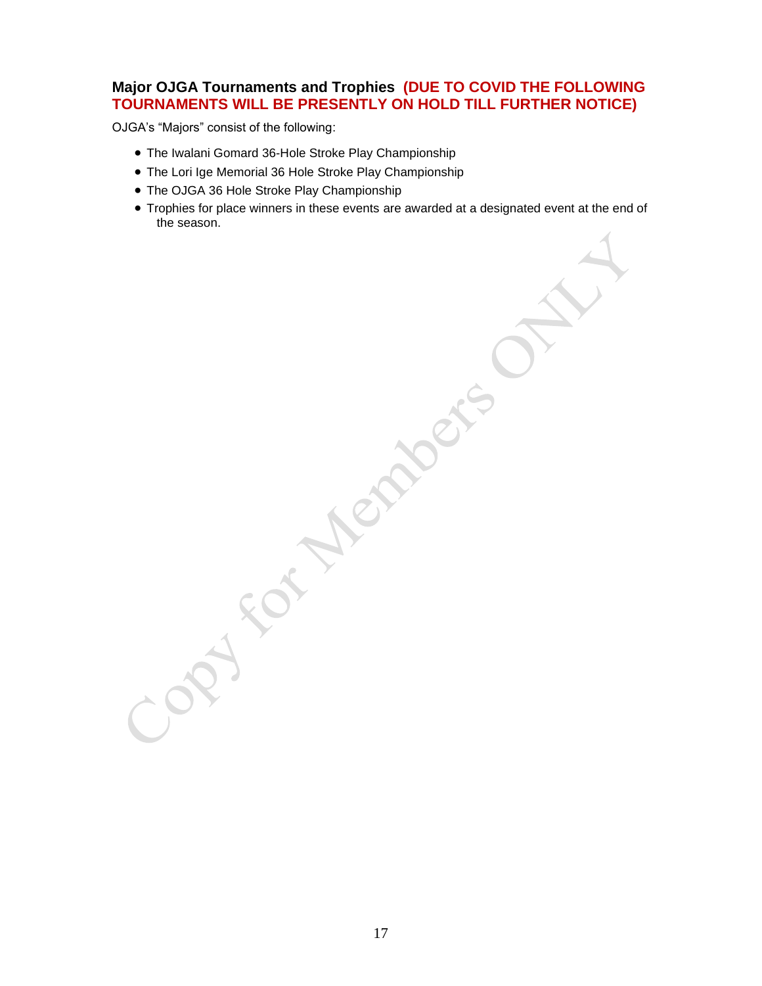# **Major OJGA Tournaments and Trophies (DUE TO COVID THE FOLLOWING TOURNAMENTS WILL BE PRESENTLY ON HOLD TILL FURTHER NOTICE)**

OJGA's "Majors" consist of the following:

- The Iwalani Gomard 36-Hole Stroke Play Championship
- The Lori Ige Memorial 36 Hole Stroke Play Championship
- The OJGA 36 Hole Stroke Play Championship
- Trophies for place winners in these events are awarded at a designated event at the end of the season.

PY FOT MEMBERS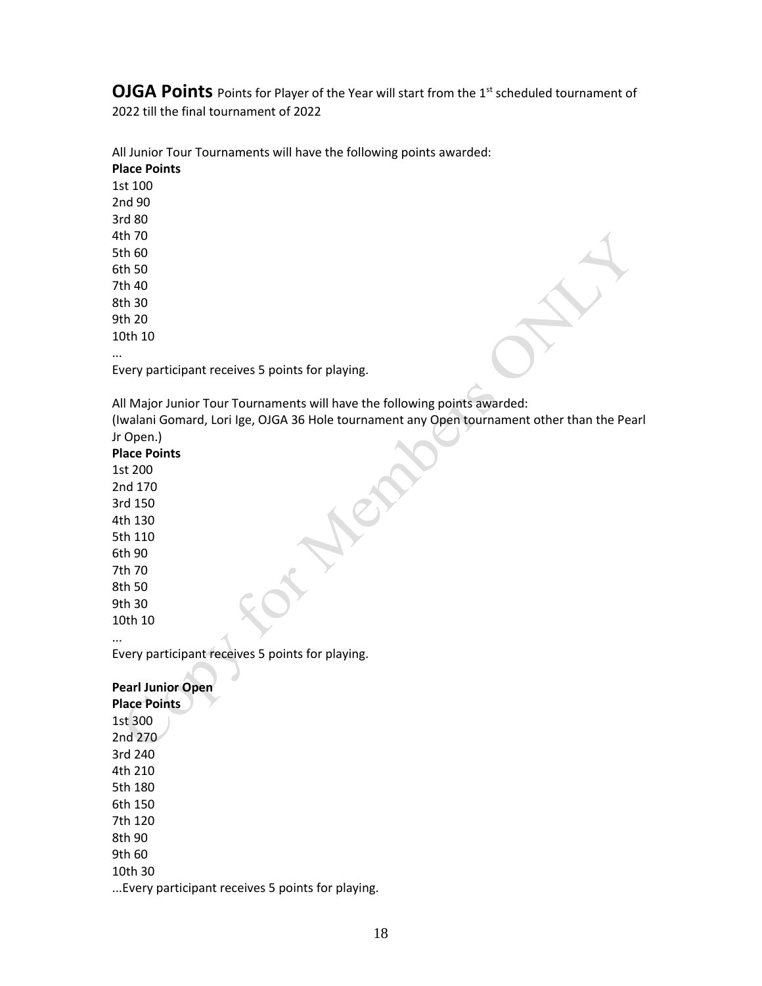**OJGA Points** Points for Player of the Year will start from the 1<sup>st</sup> scheduled tournament of 2022 till the final tournament of 2022

All Junior Tour Tournaments will have the following points awarded: **Place Points** 1st 100 2nd 90 3rd 80 4th 70 5th 60 6th 50 7th 40

8th 30

9th 20

10th 10

...

Every participant receives 5 points for playing.

All Major Junior Tour Tournaments will have the following points awarded: (Iwalani Gomard, Lori Ige, OJGA 36 Hole tournament any Open tournament other than the Pearl Jr Open.)

#### **Place Points**

1st 200 2nd 170 3rd 150 4th 130 5th 110 6th 90 7th 70 8th 50

9th 30 10th 10

...

Every participant receives 5 points for playing.

**Pearl Junior Open Place Points** 1st 300 2nd 270 3rd 240 4th 210 5th 180 6th 150 7th 120 8th 90 9th 60 10th 30 ...Every participant receives 5 points for playing.